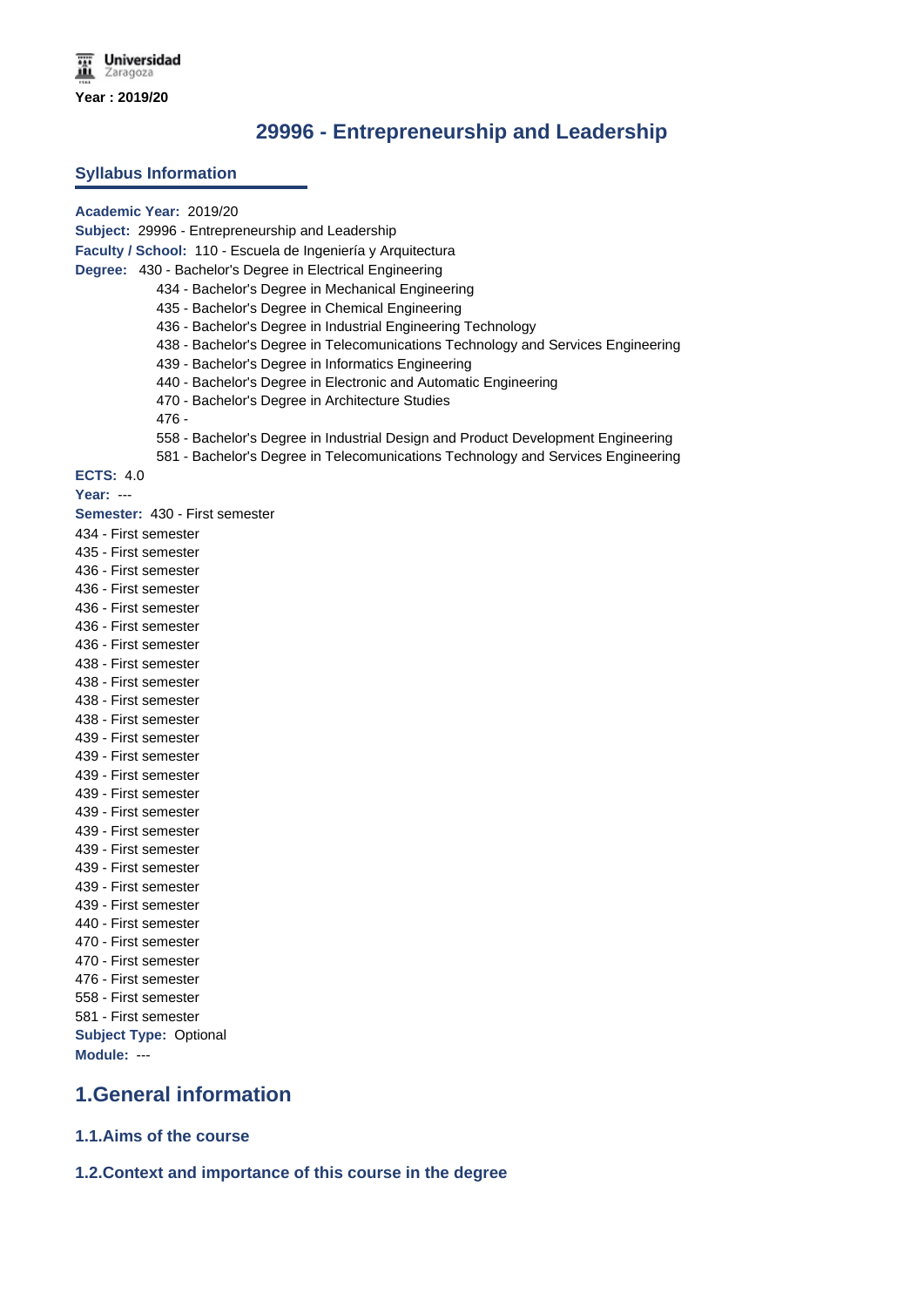# **29996 - Entrepreneurship and Leadership**

#### **Syllabus Information**

**Academic Year:** 2019/20 **Subject:** 29996 - Entrepreneurship and Leadership **Faculty / School:** 110 - Escuela de Ingeniería y Arquitectura **Degree:** 430 - Bachelor's Degree in Electrical Engineering 434 - Bachelor's Degree in Mechanical Engineering 435 - Bachelor's Degree in Chemical Engineering 436 - Bachelor's Degree in Industrial Engineering Technology 438 - Bachelor's Degree in Telecomunications Technology and Services Engineering 439 - Bachelor's Degree in Informatics Engineering 440 - Bachelor's Degree in Electronic and Automatic Engineering 470 - Bachelor's Degree in Architecture Studies 476 - 558 - Bachelor's Degree in Industrial Design and Product Development Engineering 581 - Bachelor's Degree in Telecomunications Technology and Services Engineering **ECTS:** 4.0 **Year:** --- **Semester:** 430 - First semester 434 - First semester 435 - First semester 436 - First semester 436 - First semester 436 - First semester 436 - First semester 436 - First semester 438 - First semester 438 - First semester 438 - First semester 438 - First semester 439 - First semester 439 - First semester 439 - First semester 439 - First semester 439 - First semester 439 - First semester 439 - First semester 439 - First semester 439 - First semester 439 - First semester 440 - First semester 470 - First semester 470 - First semester 476 - First semester 558 - First semester 581 - First semester **Subject Type:** Optional **Module:** --- **1.General information 1.1.Aims of the course**

**1.2.Context and importance of this course in the degree**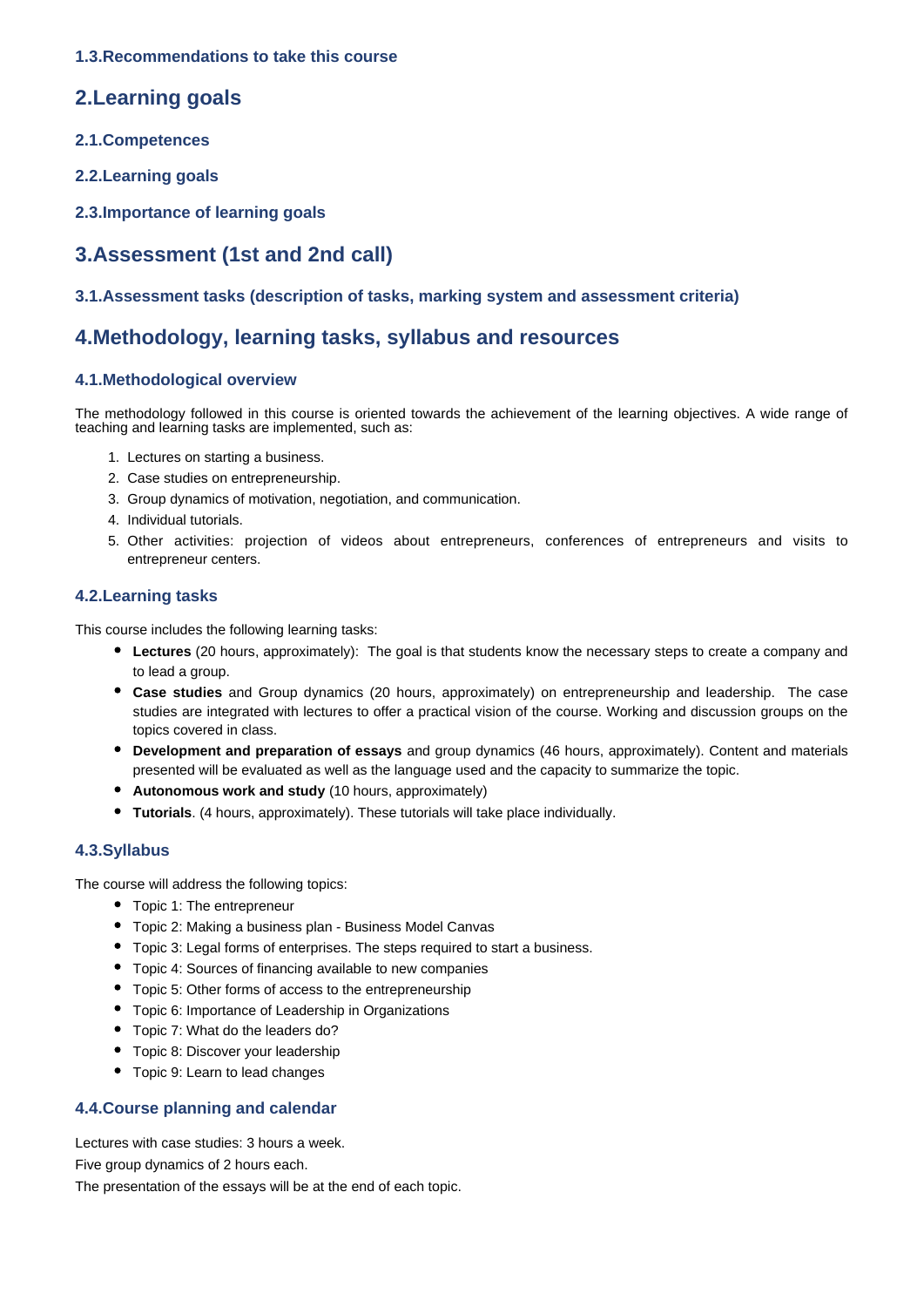### **1.3.Recommendations to take this course**

## **2.Learning goals**

- **2.1.Competences**
- **2.2.Learning goals**
- **2.3.Importance of learning goals**

# **3.Assessment (1st and 2nd call)**

### **3.1.Assessment tasks (description of tasks, marking system and assessment criteria)**

## **4.Methodology, learning tasks, syllabus and resources**

### **4.1.Methodological overview**

The methodology followed in this course is oriented towards the achievement of the learning objectives. A wide range of teaching and learning tasks are implemented, such as:

- 1. Lectures on starting a business.
- 2. Case studies on entrepreneurship.
- 3. Group dynamics of motivation, negotiation, and communication.
- 4. Individual tutorials.
- 5. Other activities: projection of videos about entrepreneurs, conferences of entrepreneurs and visits to entrepreneur centers.

### **4.2.Learning tasks**

This course includes the following learning tasks:

- **Lectures** (20 hours, approximately): The goal is that students know the necessary steps to create a company and to lead a group.
- **Case studies** and Group dynamics (20 hours, approximately) on entrepreneurship and leadership. The case studies are integrated with lectures to offer a practical vision of the course. Working and discussion groups on the topics covered in class.
- **Development and preparation of essays** and group dynamics (46 hours, approximately). Content and materials presented will be evaluated as well as the language used and the capacity to summarize the topic.
- **Autonomous work and study** (10 hours, approximately)
- **Tutorials**. (4 hours, approximately). These tutorials will take place individually.

### **4.3.Syllabus**

The course will address the following topics:

- Topic 1: The entrepreneur
- Topic 2: Making a business plan Business Model Canvas
- Topic 3: Legal forms of enterprises. The steps required to start a business.
- Topic 4: Sources of financing available to new companies
- Topic 5: Other forms of access to the entrepreneurship
- Topic 6: Importance of Leadership in Organizations
- Topic 7: What do the leaders do?
- Topic 8: Discover your leadership
- Topic 9: Learn to lead changes

### **4.4.Course planning and calendar**

Lectures with case studies: 3 hours a week.

Five group dynamics of 2 hours each.

The presentation of the essays will be at the end of each topic.